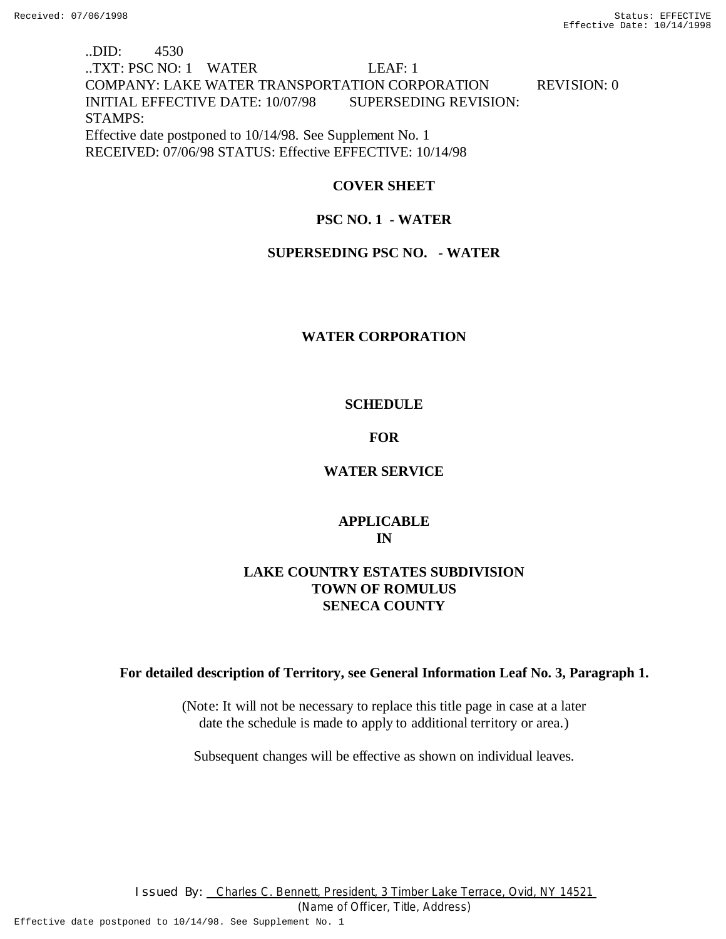# ..DID: 4530 ..TXT: PSC NO: 1 WATER LEAF: 1 COMPANY: LAKE WATER TRANSPORTATION CORPORATION REVISION: 0 INITIAL EFFECTIVE DATE: 10/07/98 SUPERSEDING REVISION: STAMPS: Effective date postponed to 10/14/98. See Supplement No. 1 RECEIVED: 07/06/98 STATUS: Effective EFFECTIVE: 10/14/98

## **COVER SHEET**

## **PSC NO. 1 - WATER**

## **SUPERSEDING PSC NO. - WATER**

## **WATER CORPORATION**

## **SCHEDULE**

## **FOR**

## **WATER SERVICE**

# **APPLICABLE IN**

# **LAKE COUNTRY ESTATES SUBDIVISION TOWN OF ROMULUS SENECA COUNTY**

## **For detailed description of Territory, see General Information Leaf No. 3, Paragraph 1.**

(Note: It will not be necessary to replace this title page in case at a later date the schedule is made to apply to additional territory or area.)

Subsequent changes will be effective as shown on individual leaves.

I ssued By: Charles C. Bennett, President, 3 Timber Lake Terrace, Ovid, NY 14521

(Name of Officer, Title, Address)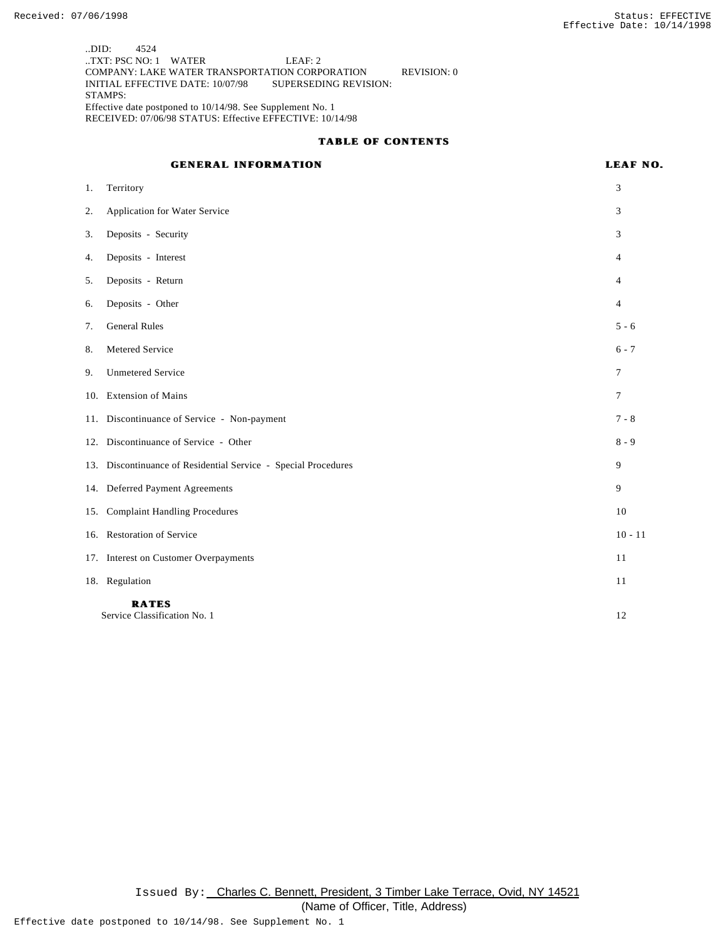..DID: 4524 ..TXT: PSC NO: 1 WATER LEAF: 2 COMPANY: LAKE WATER TRANSPORTATION CORPORATION REVISION: 0 INITIAL EFFECTIVE DATE: 10/07/98 SUPERSEDING REVISION: STAMPS: Effective date postponed to 10/14/98. See Supplement No. 1 RECEIVED: 07/06/98 STATUS: Effective EFFECTIVE: 10/14/98

#### **TABLE OF CONTENTS**

## **GENERAL INFORMATION LEAF NO.**

| 1.  | Territory                                                      | 3              |
|-----|----------------------------------------------------------------|----------------|
| 2.  | Application for Water Service                                  | 3              |
| 3.  | Deposits - Security                                            | 3              |
| 4.  | Deposits - Interest                                            | $\overline{4}$ |
| 5.  | Deposits - Return                                              | 4              |
| 6.  | Deposits - Other                                               | $\overline{4}$ |
| 7.  | <b>General Rules</b>                                           | $5 - 6$        |
| 8.  | Metered Service                                                | $6 - 7$        |
| 9.  | <b>Unmetered Service</b>                                       | 7              |
| 10. | <b>Extension of Mains</b>                                      | $\tau$         |
|     | 11. Discontinuance of Service - Non-payment                    | $7 - 8$        |
|     | 12. Discontinuance of Service - Other                          | $8 - 9$        |
|     | 13. Discontinuance of Residential Service - Special Procedures | 9              |
|     | 14. Deferred Payment Agreements                                | 9              |
| 15. | <b>Complaint Handling Procedures</b>                           | 10             |
|     | 16. Restoration of Service                                     | $10 - 11$      |
|     | 17. Interest on Customer Overpayments                          | 11             |
|     | 18. Regulation                                                 | 11             |
|     | <b>RATES</b><br>Service Classification No. 1                   | 12             |

Issued By: Charles C. Bennett, President, 3 Timber Lake Terrace, Ovid, NY 14521 (Name of Officer, Title, Address)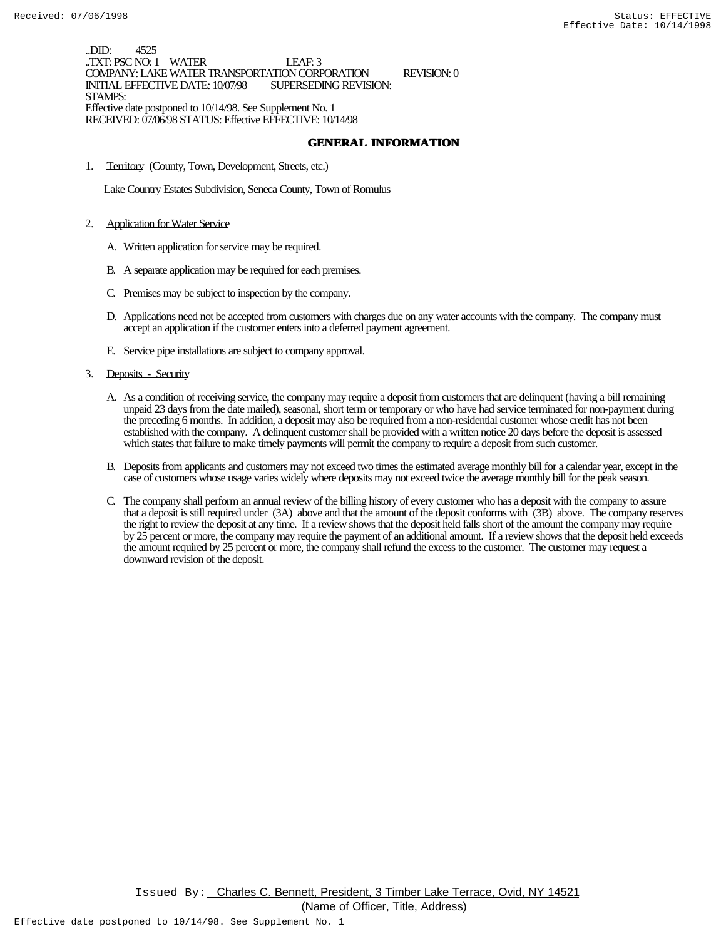..DID: 4525 ..TXT: PSC NO: 1 WATER LEAF: 3 COMPANY: LAKE WATER TRANSPORTATION CORPORATION REVISION: 0 INITIAL EFFECTIVE DATE: 10/07/98 STAMPS: Effective date postponed to 10/14/98. See Supplement No. 1 RECEIVED: 07/06/98 STATUS: Effective EFFECTIVE: 10/14/98

#### **GENERAL INFORMATION**

1. Territory (County, Town, Development, Streets, etc.)

Lake Country Estates Subdivision, Seneca County, Town of Romulus

- 2. Application for Water Service
	- A. Written application for service may be required.
	- B. A separate application may be required for each premises.
	- C. Premises may be subject to inspection by the company.
	- D. Applications need not be accepted from customers with charges due on any water accounts with the company. The company must accept an application if the customer enters into a deferred payment agreement.
	- E. Service pipe installations are subject to company approval.
- 3. Deposits Security
	- A. As a condition of receiving service, the company may require a deposit from customers that are delinquent (having a bill remaining unpaid 23 days from the date mailed), seasonal, short term or temporary or who have had service terminated for non-payment during the preceding 6 months. In addition, a deposit may also be required from a non-residential customer whose credit has not been established with the company. A delinquent customer shall be provided with a written notice 20 days before the deposit is assessed which states that failure to make timely payments will permit the company to require a deposit from such customer.
	- B. Deposits from applicants and customers may not exceed two times the estimated average monthly bill for a calendar year, except in the case of customers whose usage varies widely where deposits may not exceed twice the average monthly bill for the peak season.
	- C. The company shall perform an annual review of the billing history of every customer who has a deposit with the company to assure that a deposit is still required under (3A) above and that the amount of the deposit conforms with (3B) above. The company reserves the right to review the deposit at any time. If a review shows that the deposit held falls short of the amount the company may require by 25 percent or more, the company may require the payment of an additional amount. If a review shows that the deposit held exceeds the amount required by 25 percent or more, the company shall refund the excess to the customer. The customer may request a downward revision of the deposit.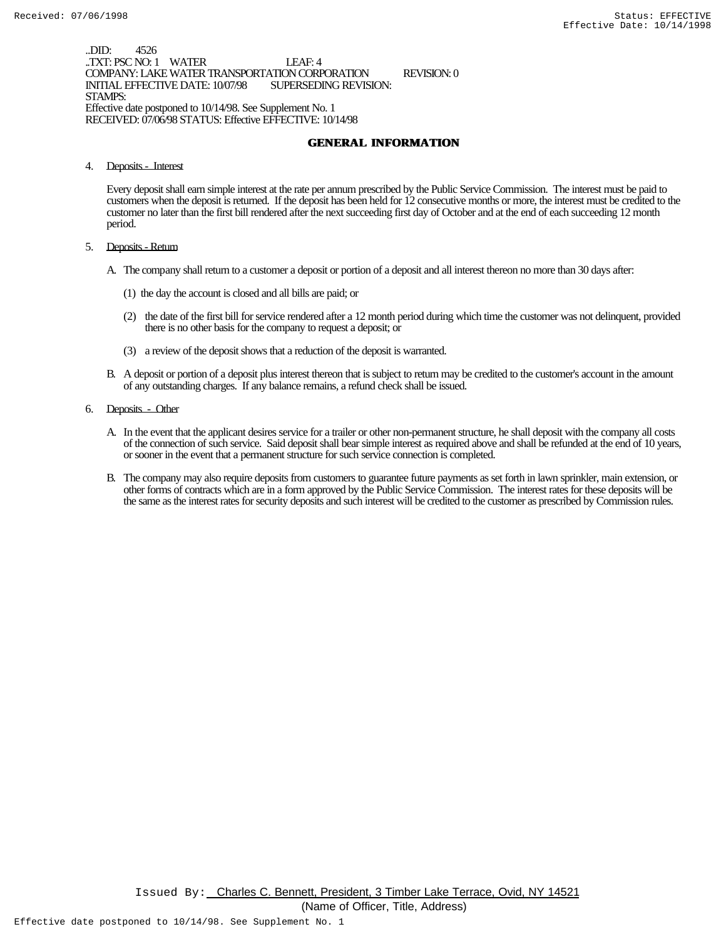..DID: 4526 ..TXT: PSC NO: 1 WATER LEAF: 4 COMPANY: LAKE WATER TRANSPORTATION CORPORATION REVISION: 0 INITIAL EFFECTIVE DATE: 10/07/98 STAMPS: Effective date postponed to 10/14/98. See Supplement No. 1 RECEIVED: 07/06/98 STATUS: Effective EFFECTIVE: 10/14/98

### **GENERAL INFORMATION**

4. Deposits - Interest

Every deposit shall earn simple interest at the rate per annum prescribed by the Public Service Commission. The interest must be paid to customers when the deposit is returned. If the deposit has been held for 12 consecutive months or more, the interest must be credited to the customer no later than the first bill rendered after the next succeeding first day of October and at the end of each succeeding 12 month period.

- 5. Deposits Return
	- A. The company shall return to a customer a deposit or portion of a deposit and all interest thereon no more than 30 days after:
		- (1) the day the account is closed and all bills are paid; or
		- (2) the date of the first bill for service rendered after a 12 month period during which time the customer was not delinquent, provided there is no other basis for the company to request a deposit; or
		- (3) a review of the deposit shows that a reduction of the deposit is warranted.
	- B. A deposit or portion of a deposit plus interest thereon that is subject to return may be credited to the customer's account in the amount of any outstanding charges. If any balance remains, a refund check shall be issued.
- 6. Deposits Other
	- A. In the event that the applicant desires service for a trailer or other non-permanent structure, he shall deposit with the company all costs of the connection of such service. Said deposit shall bear simple interest as required above and shall be refunded at the end of 10 years, or sooner in the event that a permanent structure for such service connection is completed.
	- B. The company may also require deposits from customers to guarantee future payments as set forth in lawn sprinkler, main extension, or other forms of contracts which are in a form approved by the Public Service Commission. The interest rates for these deposits will be the same as the interest rates for security deposits and such interest will be credited to the customer as prescribed by Commission rules.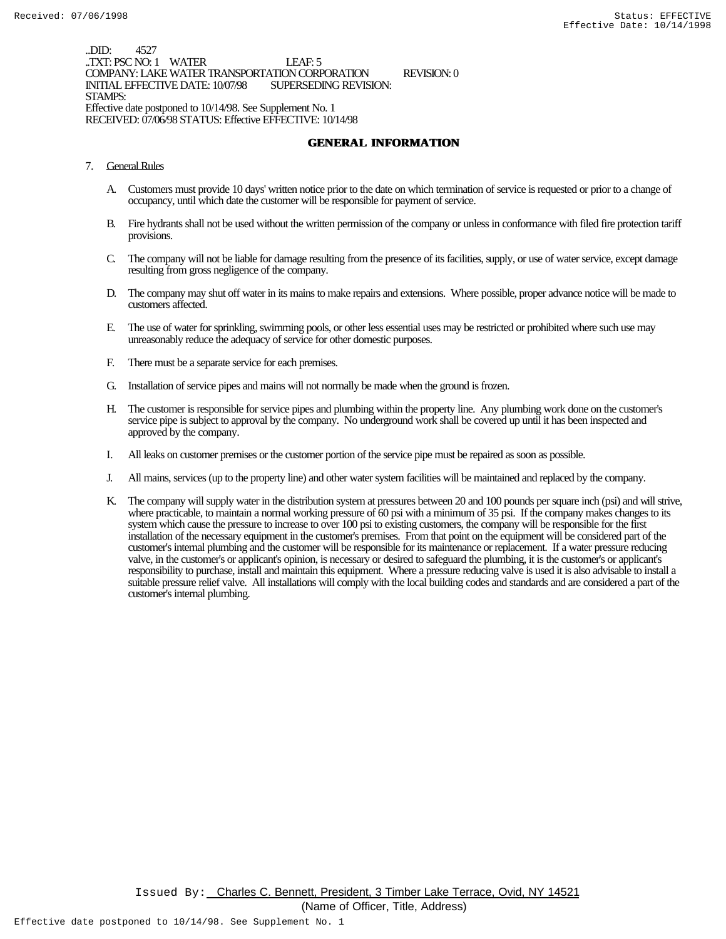..DID: 4527 ..TXT: PSC NO: 1 WATER LEAF: 5 COMPANY: LAKE WATER TRANSPORTATION CORPORATION REVISION: 0 INITIAL EFFECTIVE DATE: 10/07/98 STAMPS: Effective date postponed to 10/14/98. See Supplement No. 1 RECEIVED: 07/06/98 STATUS: Effective EFFECTIVE: 10/14/98

### **GENERAL INFORMATION**

- 7. General Rules
	- A. Customers must provide 10 days' written notice prior to the date on which termination of service is requested or prior to a change of occupancy, until which date the customer will be responsible for payment of service.
	- B. Fire hydrants shall not be used without the written permission of the company or unless in conformance with filed fire protection tariff provisions.
	- C. The company will not be liable for damage resulting from the presence of its facilities, supply, or use of water service, except damage resulting from gross negligence of the company.
	- D. The company may shut off water in its mains to make repairs and extensions. Where possible, proper advance notice will be made to customers affected.
	- E. The use of water for sprinkling, swimming pools, or other less essential uses may be restricted or prohibited where such use may unreasonably reduce the adequacy of service for other domestic purposes.
	- F. There must be a separate service for each premises.
	- G. Installation of service pipes and mains will not normally be made when the ground is frozen.
	- H. The customer is responsible for service pipes and plumbing within the property line. Any plumbing work done on the customer's service pipe is subject to approval by the company. No underground work shall be covered up until it has been inspected and approved by the company.
	- I. All leaks on customer premises or the customer portion of the service pipe must be repaired as soon as possible.
	- J. All mains, services (up to the property line) and other water system facilities will be maintained and replaced by the company.
	- K. The company will supply water in the distribution system at pressures between 20 and 100 pounds per square inch (psi) and will strive, where practicable, to maintain a normal working pressure of 60 psi with a minimum of 35 psi. If the company makes changes to its system which cause the pressure to increase to over 100 psi to existing customers, the company will be responsible for the first installation of the necessary equipment in the customer's premises. From that point on the equipment will be considered part of the customer's internal plumbing and the customer will be responsible for its maintenance or replacement. If a water pressure reducing valve, in the customer's or applicant's opinion, is necessary or desired to safeguard the plumbing, it is the customer's or applicant's responsibility to purchase, install and maintain this equipment. Where a pressure reducing valve is used it is also advisable to install a suitable pressure relief valve. All installations will comply with the local building codes and standards and are considered a part of the customer's internal plumbing.

Issued By: Charles C. Bennett, President, 3 Timber Lake Terrace, Ovid, NY 14521

(Name of Officer, Title, Address)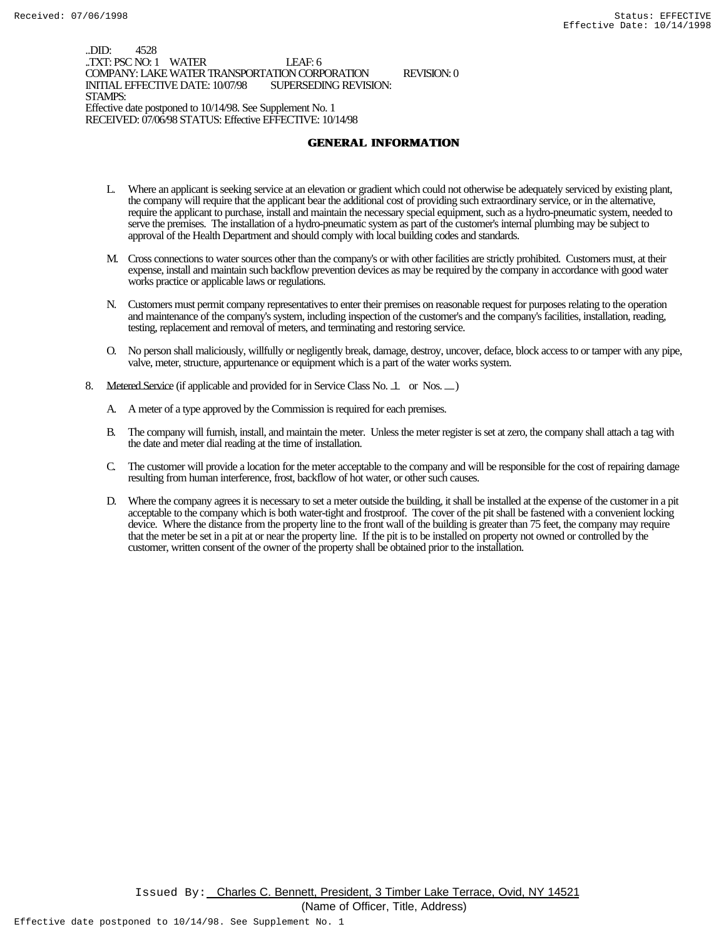..DID: 4528 ..TXT: PSC NO: 1 WATER LEAF: 6 COMPANY: LAKE WATER TRANSPORTATION CORPORATION REVISION: 0 INITIAL EFFECTIVE DATE: 10/07/98 STAMPS: Effective date postponed to 10/14/98. See Supplement No. 1 RECEIVED: 07/06/98 STATUS: Effective EFFECTIVE: 10/14/98

### **GENERAL INFORMATION**

- L. Where an applicant is seeking service at an elevation or gradient which could not otherwise be adequately serviced by existing plant, the company will require that the applicant bear the additional cost of providing such extraordinary service, or in the alternative, require the applicant to purchase, install and maintain the necessary special equipment, such as a hydro-pneumatic system, needed to serve the premises. The installation of a hydro-pneumatic system as part of the customer's internal plumbing may be subject to approval of the Health Department and should comply with local building codes and standards.
- M. Cross connections to water sources other than the company's or with other facilities are strictly prohibited. Customers must, at their expense, install and maintain such backflow prevention devices as may be required by the company in accordance with good water works practice or applicable laws or regulations.
- N. Customers must permit company representatives to enter their premises on reasonable request for purposes relating to the operation and maintenance of the company's system, including inspection of the customer's and the company's facilities, installation, reading, testing, replacement and removal of meters, and terminating and restoring service.
- O. No person shall maliciously, willfully or negligently break, damage, destroy, uncover, deface, block access to or tamper with any pipe, valve, meter, structure, appurtenance or equipment which is a part of the water works system.
- 8. Metered Service (if applicable and provided for in Service Class No. 1 or Nos. )
	- A. A meter of a type approved by the Commission is required for each premises.
	- B. The company will furnish, install, and maintain the meter. Unless the meter register is set at zero, the company shall attach a tag with the date and meter dial reading at the time of installation.
	- C. The customer will provide a location for the meter acceptable to the company and will be responsible for the cost of repairing damage resulting from human interference, frost, backflow of hot water, or other such causes.
	- D. Where the company agrees it is necessary to set a meter outside the building, it shall be installed at the expense of the customer in a pit acceptable to the company which is both water-tight and frostproof. The cover of the pit shall be fastened with a convenient locking device. Where the distance from the property line to the front wall of the building is greater than 75 feet, the company may require that the meter be set in a pit at or near the property line. If the pit is to be installed on property not owned or controlled by the customer, written consent of the owner of the property shall be obtained prior to the installation.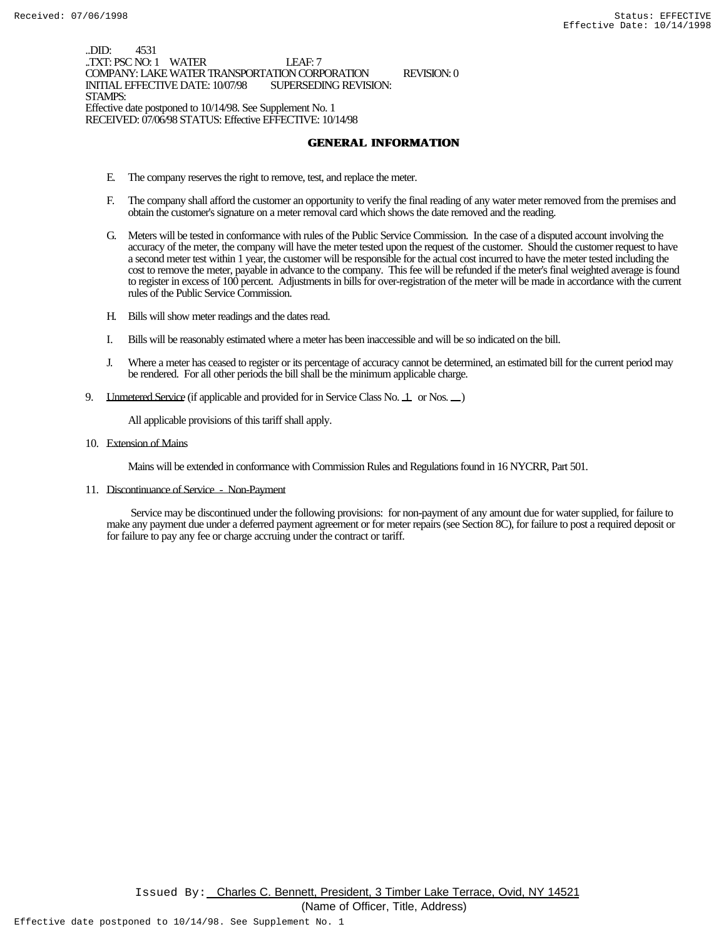..DID: 4531 ..TXT: PSC NO: 1 WATER LEAF: 7 COMPANY: LAKE WATER TRANSPORTATION CORPORATION REVISION: 0 INITIAL EFFECTIVE DATE: 10/07/98 STAMPS: Effective date postponed to 10/14/98. See Supplement No. 1 RECEIVED: 07/06/98 STATUS: Effective EFFECTIVE: 10/14/98

### **GENERAL INFORMATION**

- E. The company reserves the right to remove, test, and replace the meter.
- F. The company shall afford the customer an opportunity to verify the final reading of any water meter removed from the premises and obtain the customer's signature on a meter removal card which shows the date removed and the reading.
- G. Meters will be tested in conformance with rules of the Public Service Commission. In the case of a disputed account involving the accuracy of the meter, the company will have the meter tested upon the request of the customer. Should the customer request to have a second meter test within 1 year, the customer will be responsible for the actual cost incurred to have the meter tested including the cost to remove the meter, payable in advance to the company. This fee will be refunded if the meter's final weighted average is found to register in excess of 100 percent. Adjustments in bills for over-registration of the meter will be made in accordance with the current rules of the Public Service Commission.
- H. Bills will show meter readings and the dates read.
- I. Bills will be reasonably estimated where a meter has been inaccessible and will be so indicated on the bill.
- J. Where a meter has ceased to register or its percentage of accuracy cannot be determined, an estimated bill for the current period may be rendered. For all other periods the bill shall be the minimum applicable charge.
- 9. LInmetered Service (if applicable and provided for in Service Class No. 1 or Nos.  $\Box$ )

All applicable provisions of this tariff shall apply.

10. Extension of Mains

Mains will be extended in conformance with Commission Rules and Regulations found in 16 NYCRR, Part 501.

11. Discontinuance of Service - Non-Payment

 Service may be discontinued under the following provisions: for non-payment of any amount due for water supplied, for failure to make any payment due under a deferred payment agreement or for meter repairs (see Section 8C), for failure to post a required deposit or for failure to pay any fee or charge accruing under the contract or tariff.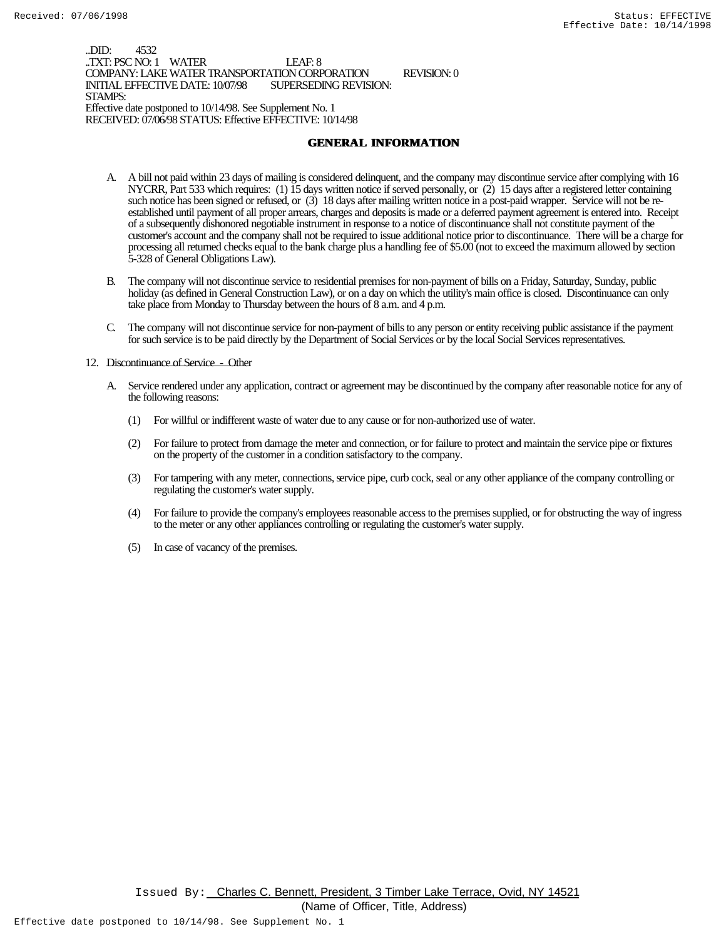..DID: 4532 .TXT: PSC NO: 1 WATER LEAF: 8 COMPANY: LAKE WATER TRANSPORTATION CORPORATION REVISION: 0 INITIAL EFFECTIVE DATE: 10/07/98 STAMPS: Effective date postponed to 10/14/98. See Supplement No. 1 RECEIVED: 07/06/98 STATUS: Effective EFFECTIVE: 10/14/98

### **GENERAL INFORMATION**

- A. A bill not paid within 23 days of mailing is considered delinquent, and the company may discontinue service after complying with 16 NYCRR, Part 533 which requires: (1) 15 days written notice if served personally, or (2) 15 days after a registered letter containing such notice has been signed or refused, or (3) 18 days after mailing written notice in a post-paid wrapper. Service will not be reestablished until payment of all proper arrears, charges and deposits is made or a deferred payment agreement is entered into. Receipt of a subsequently dishonored negotiable instrument in response to a notice of discontinuance shall not constitute payment of the customer's account and the company shall not be required to issue additional notice prior to discontinuance. There will be a charge for processing all returned checks equal to the bank charge plus a handling fee of \$5.00 (not to exceed the maximum allowed by section 5-328 of General Obligations Law).
- B. The company will not discontinue service to residential premises for non-payment of bills on a Friday, Saturday, Sunday, public holiday (as defined in General Construction Law), or on a day on which the utility's main office is closed. Discontinuance can only take place from Monday to Thursday between the hours of 8 a.m. and 4 p.m.
- C. The company will not discontinue service for non-payment of bills to any person or entity receiving public assistance if the payment for such service is to be paid directly by the Department of Social Services or by the local Social Services representatives.

#### 12. Discontinuance of Service - Other

- A. Service rendered under any application, contract or agreement may be discontinued by the company after reasonable notice for any of the following reasons:
	- (1) For willful or indifferent waste of water due to any cause or for non-authorized use of water.
	- (2) For failure to protect from damage the meter and connection, or for failure to protect and maintain the service pipe or fixtures on the property of the customer in a condition satisfactory to the company.
	- (3) For tampering with any meter, connections, service pipe, curb cock, seal or any other appliance of the company controlling or regulating the customer's water supply.
	- (4) For failure to provide the company's employees reasonable access to the premises supplied, or for obstructing the way of ingress to the meter or any other appliances controlling or regulating the customer's water supply.
	- (5) In case of vacancy of the premises.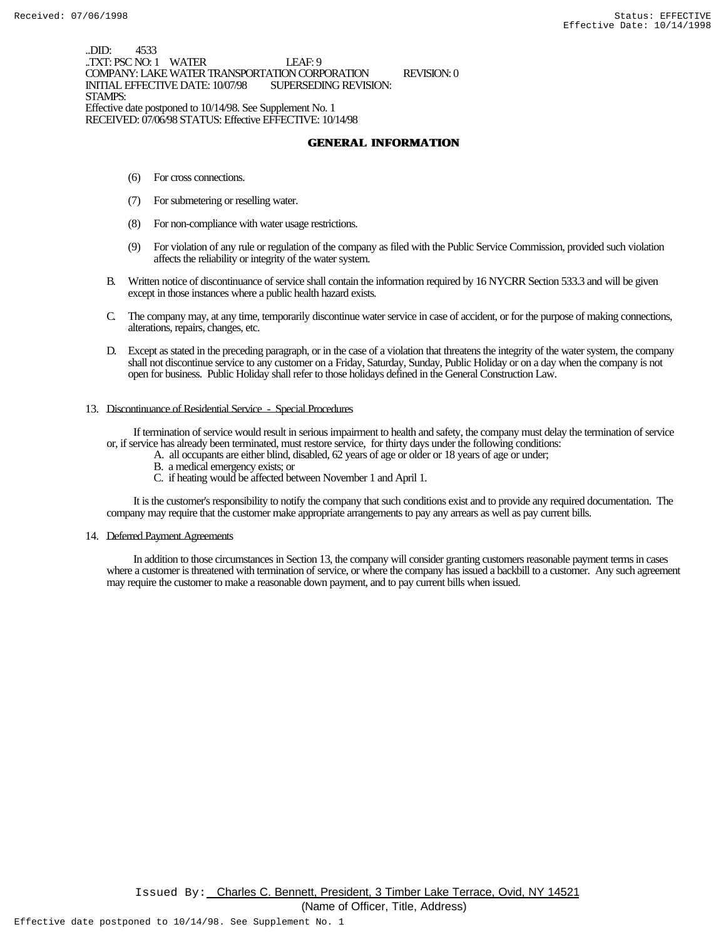..DID: 4533 ..TXT: PSC NO: 1 WATER LEAF: 9 COMPANY: LAKE WATER TRANSPORTATION CORPORATION REVISION: 0 INITIAL EFFECTIVE DATE: 10/07/98 STAMPS: Effective date postponed to 10/14/98. See Supplement No. 1 RECEIVED: 07/06/98 STATUS: Effective EFFECTIVE: 10/14/98

### **GENERAL INFORMATION**

- (6) For cross connections.
- (7) For submetering or reselling water.
- (8) For non-compliance with water usage restrictions.
- (9) For violation of any rule or regulation of the company as filed with the Public Service Commission, provided such violation affects the reliability or integrity of the water system.
- B. Written notice of discontinuance of service shall contain the information required by 16 NYCRR Section 533.3 and will be given except in those instances where a public health hazard exists.
- C. The company may, at any time, temporarily discontinue water service in case of accident, or for the purpose of making connections, alterations, repairs, changes, etc.
- D. Except as stated in the preceding paragraph, or in the case of a violation that threatens the integrity of the water system, the company shall not discontinue service to any customer on a Friday, Saturday, Sunday, Public Holiday or on a day when the company is not open for business. Public Holiday shall refer to those holidays defined in the General Construction Law.

#### 13. Discontinuance of Residential Service - Special Procedures

 If termination of service would result in serious impairment to health and safety, the company must delay the termination of service or, if service has already been terminated, must restore service, for thirty days under the following conditions:

- A. all occupants are either blind, disabled, 62 years of age or older or 18 years of age or under;
- B. a medical emergency exists; or
- C. if heating would be affected between November 1 and April 1.

 It is the customer's responsibility to notify the company that such conditions exist and to provide any required documentation. The company may require that the customer make appropriate arrangements to pay any arrears as well as pay current bills.

#### 14. Deferred Payment Agreements

 In addition to those circumstances in Section 13, the company will consider granting customers reasonable payment terms in cases where a customer is threatened with termination of service, or where the company has issued a backbill to a customer. Any such agreement may require the customer to make a reasonable down payment, and to pay current bills when issued.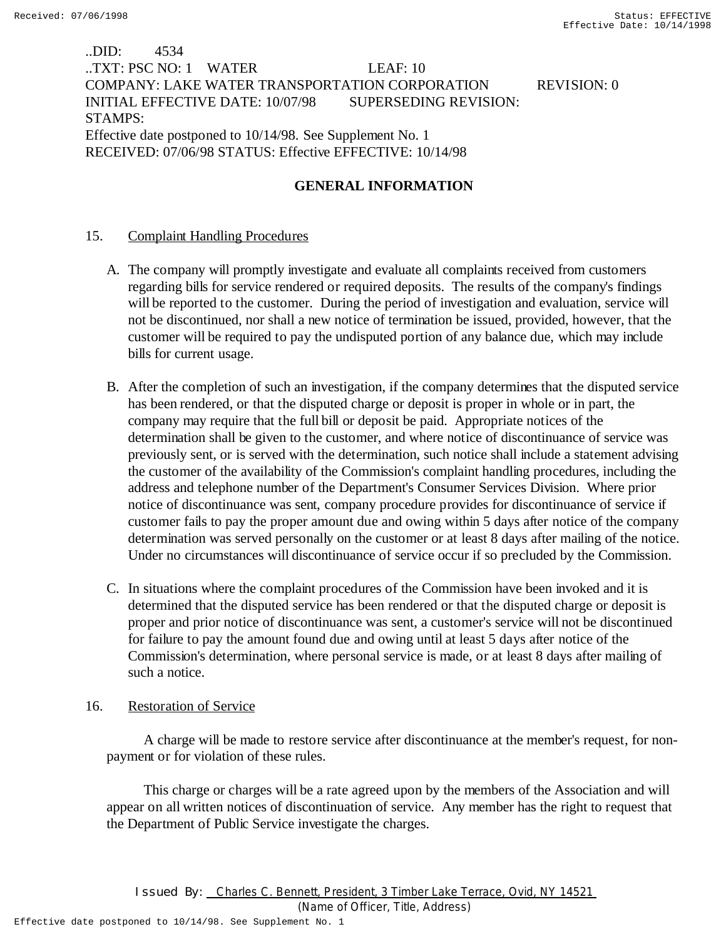# ..DID: 4534 ..TXT: PSC NO: 1 WATER LEAF: 10 COMPANY: LAKE WATER TRANSPORTATION CORPORATION REVISION: 0 INITIAL EFFECTIVE DATE: 10/07/98 SUPERSEDING REVISION: STAMPS: Effective date postponed to 10/14/98. See Supplement No. 1 RECEIVED: 07/06/98 STATUS: Effective EFFECTIVE: 10/14/98

# **GENERAL INFORMATION**

## 15. Complaint Handling Procedures

- A. The company will promptly investigate and evaluate all complaints received from customers regarding bills for service rendered or required deposits. The results of the company's findings will be reported to the customer. During the period of investigation and evaluation, service will not be discontinued, nor shall a new notice of termination be issued, provided, however, that the customer will be required to pay the undisputed portion of any balance due, which may include bills for current usage.
- B. After the completion of such an investigation, if the company determines that the disputed service has been rendered, or that the disputed charge or deposit is proper in whole or in part, the company may require that the full bill or deposit be paid. Appropriate notices of the determination shall be given to the customer, and where notice of discontinuance of service was previously sent, or is served with the determination, such notice shall include a statement advising the customer of the availability of the Commission's complaint handling procedures, including the address and telephone number of the Department's Consumer Services Division. Where prior notice of discontinuance was sent, company procedure provides for discontinuance of service if customer fails to pay the proper amount due and owing within 5 days after notice of the company determination was served personally on the customer or at least 8 days after mailing of the notice. Under no circumstances will discontinuance of service occur if so precluded by the Commission.
- C. In situations where the complaint procedures of the Commission have been invoked and it is determined that the disputed service has been rendered or that the disputed charge or deposit is proper and prior notice of discontinuance was sent, a customer's service will not be discontinued for failure to pay the amount found due and owing until at least 5 days after notice of the Commission's determination, where personal service is made, or at least 8 days after mailing of such a notice.

## 16. Restoration of Service

 A charge will be made to restore service after discontinuance at the member's request, for nonpayment or for violation of these rules.

 This charge or charges will be a rate agreed upon by the members of the Association and will appear on all written notices of discontinuation of service. Any member has the right to request that the Department of Public Service investigate the charges.

(Name of Officer, Title, Address)

Effective date postponed to 10/14/98. See Supplement No. 1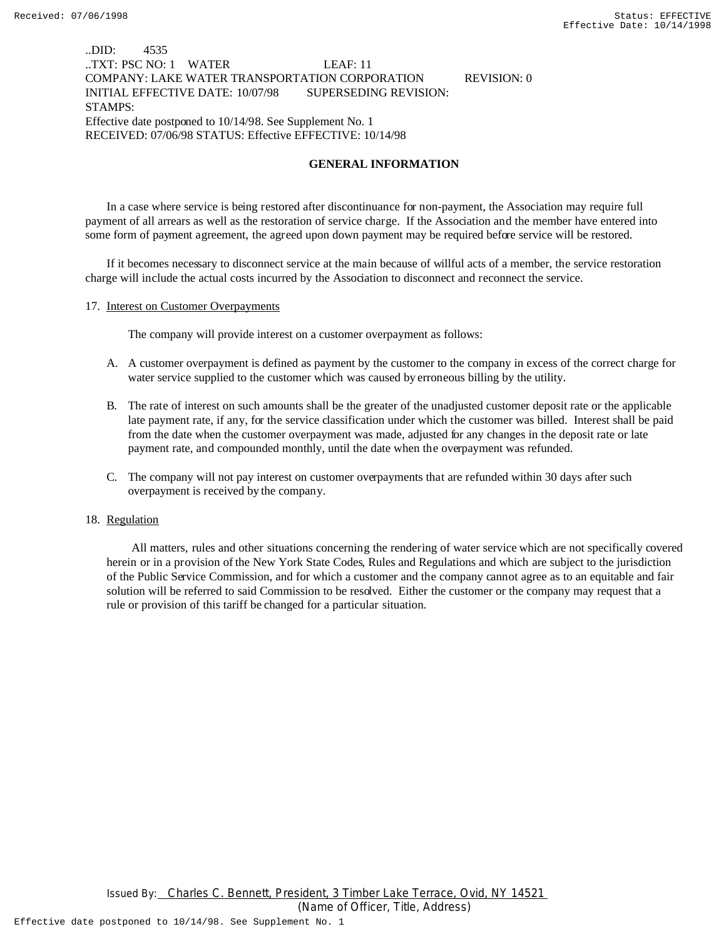### ..DID: 4535 ..TXT: PSC NO: 1 WATER LEAF: 11 COMPANY: LAKE WATER TRANSPORTATION CORPORATION REVISION: 0 INITIAL EFFECTIVE DATE: 10/07/98 SUPERSEDING REVISION: STAMPS: Effective date postponed to 10/14/98. See Supplement No. 1 RECEIVED: 07/06/98 STATUS: Effective EFFECTIVE: 10/14/98

### **GENERAL INFORMATION**

In a case where service is being restored after discontinuance for non-payment, the Association may require full payment of all arrears as well as the restoration of service charge. If the Association and the member have entered into some form of payment agreement, the agreed upon down payment may be required before service will be restored.

If it becomes necessary to disconnect service at the main because of willful acts of a member, the service restoration charge will include the actual costs incurred by the Association to disconnect and reconnect the service.

#### 17. Interest on Customer Overpayments

The company will provide interest on a customer overpayment as follows:

- A. A customer overpayment is defined as payment by the customer to the company in excess of the correct charge for water service supplied to the customer which was caused by erroneous billing by the utility.
- B. The rate of interest on such amounts shall be the greater of the unadjusted customer deposit rate or the applicable late payment rate, if any, for the service classification under which the customer was billed. Interest shall be paid from the date when the customer overpayment was made, adjusted for any changes in the deposit rate or late payment rate, and compounded monthly, until the date when the overpayment was refunded.
- C. The company will not pay interest on customer overpayments that are refunded within 30 days after such overpayment is received by the company.

#### 18. Regulation

 All matters, rules and other situations concerning the rendering of water service which are not specifically covered herein or in a provision of the New York State Codes, Rules and Regulations and which are subject to the jurisdiction of the Public Service Commission, and for which a customer and the company cannot agree as to an equitable and fair solution will be referred to said Commission to be resolved. Either the customer or the company may request that a rule or provision of this tariff be changed for a particular situation.